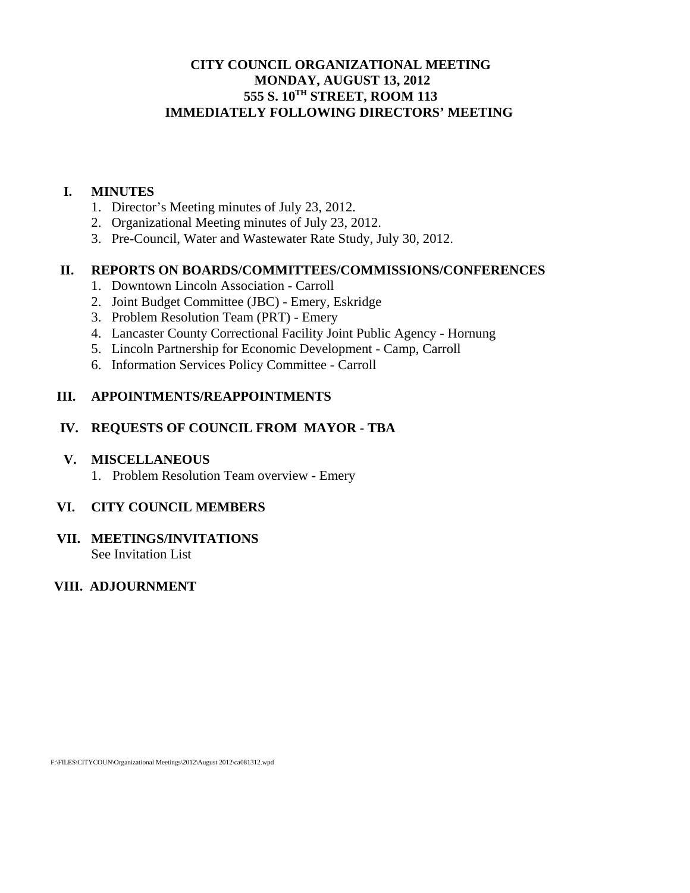# **CITY COUNCIL ORGANIZATIONAL MEETING MONDAY, AUGUST 13, 2012 555 S. 10TH STREET, ROOM 113 IMMEDIATELY FOLLOWING DIRECTORS' MEETING**

#### **I. MINUTES**

- 1. Director's Meeting minutes of July 23, 2012.
- 2. Organizational Meeting minutes of July 23, 2012.
- 3. Pre-Council, Water and Wastewater Rate Study, July 30, 2012.

### **II. REPORTS ON BOARDS/COMMITTEES/COMMISSIONS/CONFERENCES**

- 1. Downtown Lincoln Association Carroll
- 2. Joint Budget Committee (JBC) Emery, Eskridge
- 3. Problem Resolution Team (PRT) Emery
- 4. Lancaster County Correctional Facility Joint Public Agency Hornung
- 5. Lincoln Partnership for Economic Development Camp, Carroll
- 6. Information Services Policy Committee Carroll

#### **III. APPOINTMENTS/REAPPOINTMENTS**

### **IV. REQUESTS OF COUNCIL FROM MAYOR - TBA**

#### **V. MISCELLANEOUS**

1. Problem Resolution Team overview - Emery

#### **VI. CITY COUNCIL MEMBERS**

# **VII. MEETINGS/INVITATIONS**

See Invitation List

# **VIII. ADJOURNMENT**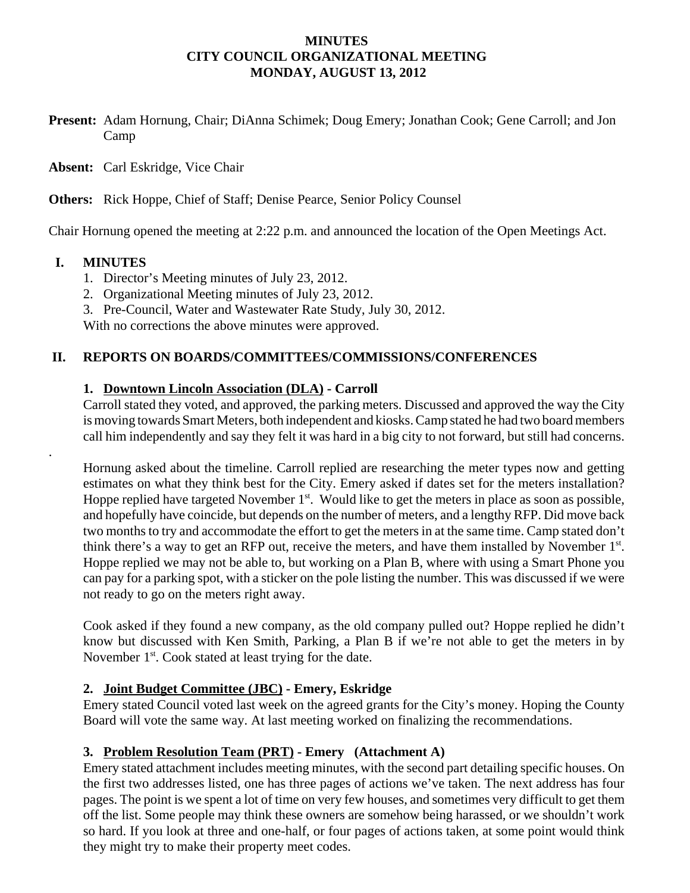#### **MINUTES CITY COUNCIL ORGANIZATIONAL MEETING MONDAY, AUGUST 13, 2012**

**Present:** Adam Hornung, Chair; DiAnna Schimek; Doug Emery; Jonathan Cook; Gene Carroll; and Jon Camp

**Absent:** Carl Eskridge, Vice Chair

**Others:** Rick Hoppe, Chief of Staff; Denise Pearce, Senior Policy Counsel

Chair Hornung opened the meeting at 2:22 p.m. and announced the location of the Open Meetings Act.

### **I. MINUTES**

.

- 1. Director's Meeting minutes of July 23, 2012.
- 2. Organizational Meeting minutes of July 23, 2012.
- 3. Pre-Council, Water and Wastewater Rate Study, July 30, 2012.

With no corrections the above minutes were approved.

### **II. REPORTS ON BOARDS/COMMITTEES/COMMISSIONS/CONFERENCES**

### **1. Downtown Lincoln Association (DLA) - Carroll**

Carroll stated they voted, and approved, the parking meters. Discussed and approved the way the City is moving towards Smart Meters, both independent and kiosks. Camp stated he had two board members call him independently and say they felt it was hard in a big city to not forward, but still had concerns.

Hornung asked about the timeline. Carroll replied are researching the meter types now and getting estimates on what they think best for the City. Emery asked if dates set for the meters installation? Hoppe replied have targeted November  $1<sup>st</sup>$ . Would like to get the meters in place as soon as possible, and hopefully have coincide, but depends on the number of meters, and a lengthy RFP. Did move back two months to try and accommodate the effort to get the meters in at the same time. Camp stated don't think there's a way to get an RFP out, receive the meters, and have them installed by November  $1<sup>st</sup>$ . Hoppe replied we may not be able to, but working on a Plan B, where with using a Smart Phone you can pay for a parking spot, with a sticker on the pole listing the number. This was discussed if we were not ready to go on the meters right away.

Cook asked if they found a new company, as the old company pulled out? Hoppe replied he didn't know but discussed with Ken Smith, Parking, a Plan B if we're not able to get the meters in by November  $1<sup>st</sup>$ . Cook stated at least trying for the date.

# **2. Joint Budget Committee (JBC) - Emery, Eskridge**

Emery stated Council voted last week on the agreed grants for the City's money. Hoping the County Board will vote the same way. At last meeting worked on finalizing the recommendations.

# **3. Problem Resolution Team (PRT) - Emery (Attachment A)**

Emery stated attachment includes meeting minutes, with the second part detailing specific houses. On the first two addresses listed, one has three pages of actions we've taken. The next address has four pages. The point is we spent a lot of time on very few houses, and sometimes very difficult to get them off the list. Some people may think these owners are somehow being harassed, or we shouldn't work so hard. If you look at three and one-half, or four pages of actions taken, at some point would think they might try to make their property meet codes.